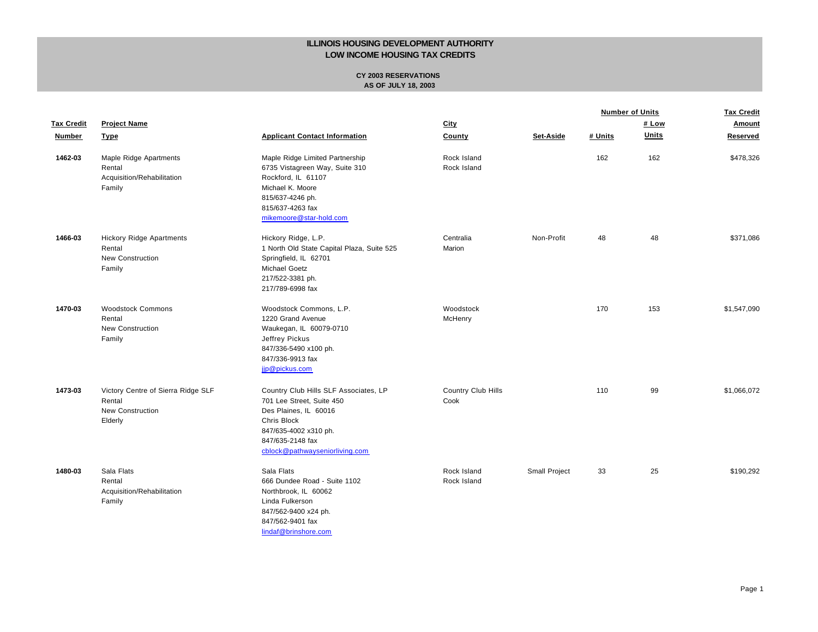|                   |                                                                                    |                                                                                                                                                                                                  |                            |               | <b>Number of Units</b> |              | <b>Tax Credit</b> |
|-------------------|------------------------------------------------------------------------------------|--------------------------------------------------------------------------------------------------------------------------------------------------------------------------------------------------|----------------------------|---------------|------------------------|--------------|-------------------|
| <b>Tax Credit</b> | <b>Project Name</b>                                                                |                                                                                                                                                                                                  | City                       |               |                        | # Low        | Amount            |
| Number            | <b>Type</b>                                                                        | <b>Applicant Contact Information</b>                                                                                                                                                             | County                     | Set-Aside     | # Units                | <b>Units</b> | Reserved          |
| 1462-03           | Maple Ridge Apartments<br>Rental<br>Acquisition/Rehabilitation<br>Family           | Maple Ridge Limited Partnership<br>6735 Vistagreen Way, Suite 310<br>Rockford, IL 61107<br>Michael K. Moore<br>815/637-4246 ph.<br>815/637-4263 fax<br>mikemoore@star-hold.com                   | Rock Island<br>Rock Island |               | 162                    | 162          | \$478,326         |
| 1466-03           | <b>Hickory Ridge Apartments</b><br>Rental<br><b>New Construction</b><br>Family     | Hickory Ridge, L.P.<br>1 North Old State Capital Plaza, Suite 525<br>Springfield, IL 62701<br><b>Michael Goetz</b><br>217/522-3381 ph.<br>217/789-6998 fax                                       | Centralia<br>Marion        | Non-Profit    | 48                     | 48           | \$371,086         |
| 1470-03           | <b>Woodstock Commons</b><br>Rental<br><b>New Construction</b><br>Family            | Woodstock Commons, L.P.<br>1220 Grand Avenue<br>Waukegan, IL 60079-0710<br>Jeffrey Pickus<br>847/336-5490 x100 ph.<br>847/336-9913 fax<br>jip@pickus.com                                         | Woodstock<br>McHenry       |               | 170                    | 153          | \$1,547,090       |
| 1473-03           | Victory Centre of Sierra Ridge SLF<br>Rental<br><b>New Construction</b><br>Elderly | Country Club Hills SLF Associates, LP<br>701 Lee Street, Suite 450<br>Des Plaines, IL 60016<br><b>Chris Block</b><br>847/635-4002 x310 ph.<br>847/635-2148 fax<br>cblock@pathwayseniorliving.com | Country Club Hills<br>Cook |               | 110                    | 99           | \$1,066,072       |
| 1480-03           | Sala Flats<br>Rental<br>Acquisition/Rehabilitation<br>Family                       | Sala Flats<br>666 Dundee Road - Suite 1102<br>Northbrook, IL 60062<br>Linda Fulkerson<br>847/562-9400 x24 ph.<br>847/562-9401 fax<br>lindaf@brinshore.com                                        | Rock Island<br>Rock Island | Small Project | 33                     | 25           | \$190,292         |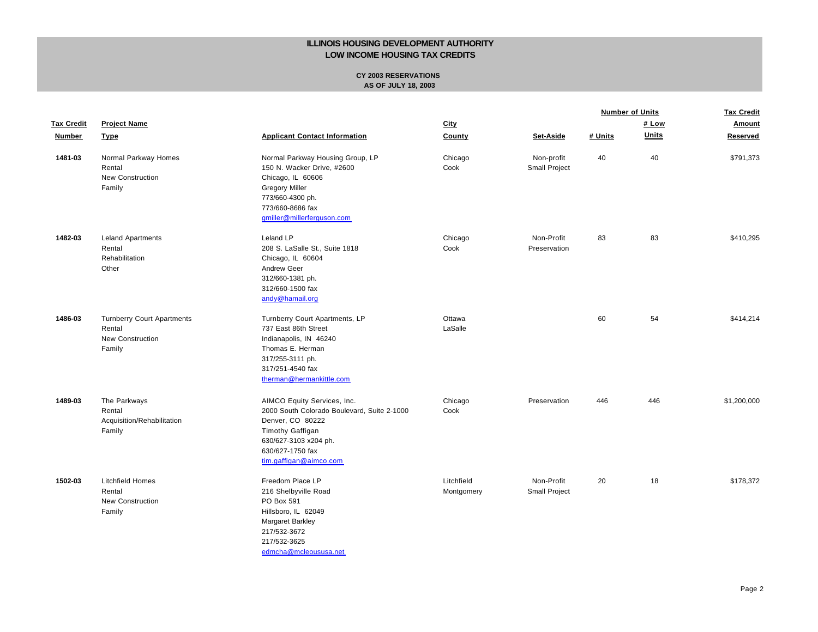| <b>Tax Credit</b><br>Number | <b>Project Name</b><br><b>Type</b>                                               | <b>Applicant Contact Information</b>                                                                                                                                                      | <b>City</b><br><b>County</b> |                             | <b>Number of Units</b> |              | <b>Tax Credit</b><br>Amount |
|-----------------------------|----------------------------------------------------------------------------------|-------------------------------------------------------------------------------------------------------------------------------------------------------------------------------------------|------------------------------|-----------------------------|------------------------|--------------|-----------------------------|
|                             |                                                                                  |                                                                                                                                                                                           |                              |                             | # Low                  |              |                             |
|                             |                                                                                  |                                                                                                                                                                                           |                              | Set-Aside                   | # Units                | <b>Units</b> | Reserved                    |
| 1481-03                     | Normal Parkway Homes<br>Rental<br><b>New Construction</b><br>Family              | Normal Parkway Housing Group, LP<br>150 N. Wacker Drive, #2600<br>Chicago, IL 60606<br><b>Gregory Miller</b><br>773/660-4300 ph.<br>773/660-8686 fax<br>gmiller@millerferguson.com        | Chicago<br>Cook              | Non-profit<br>Small Project | 40                     | 40           | \$791,373                   |
| 1482-03                     | <b>Leland Apartments</b><br>Rental<br>Rehabilitation<br>Other                    | Leland LP<br>208 S. LaSalle St., Suite 1818<br>Chicago, IL 60604<br>Andrew Geer<br>312/660-1381 ph.<br>312/660-1500 fax<br>andy@hamail.org                                                | Chicago<br>Cook              | Non-Profit<br>Preservation  | 83                     | 83           | \$410,295                   |
| 1486-03                     | <b>Turnberry Court Apartments</b><br>Rental<br><b>New Construction</b><br>Family | Turnberry Court Apartments, LP<br>737 East 86th Street<br>Indianapolis, IN 46240<br>Thomas E. Herman<br>317/255-3111 ph.<br>317/251-4540 fax<br>therman@hermankittle.com                  | Ottawa<br>LaSalle            |                             | 60                     | 54           | \$414,214                   |
| 1489-03                     | The Parkways<br>Rental<br>Acquisition/Rehabilitation<br>Family                   | AIMCO Equity Services, Inc.<br>2000 South Colorado Boulevard, Suite 2-1000<br>Denver, CO 80222<br>Timothy Gaffigan<br>630/627-3103 x204 ph.<br>630/627-1750 fax<br>tim.gaffigan@aimco.com | Chicago<br>Cook              | Preservation                | 446                    | 446          | \$1,200,000                 |
| 1502-03                     | <b>Litchfield Homes</b><br>Rental<br>New Construction<br>Family                  | Freedom Place LP<br>216 Shelbyville Road<br>PO Box 591<br>Hillsboro, IL 62049<br>Margaret Barkley<br>217/532-3672<br>217/532-3625<br>edmcha@mcleoususa.net                                | Litchfield<br>Montgomery     | Non-Profit<br>Small Project | 20                     | 18           | \$178.372                   |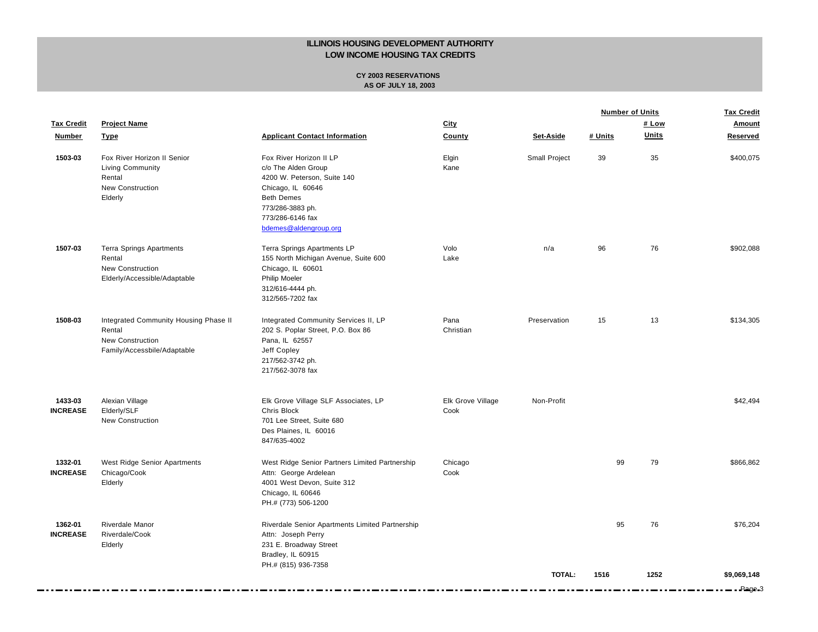|                            |                                                                                                           |                                                                                                                                                                                          |                           |               | <b>Number of Units</b> |              | <b>Tax Credit</b>     |
|----------------------------|-----------------------------------------------------------------------------------------------------------|------------------------------------------------------------------------------------------------------------------------------------------------------------------------------------------|---------------------------|---------------|------------------------|--------------|-----------------------|
| <b>Tax Credit</b>          | <b>Project Name</b>                                                                                       |                                                                                                                                                                                          | City                      |               |                        | # Low        | Amount                |
| <b>Number</b>              | <b>Type</b>                                                                                               | <b>Applicant Contact Information</b>                                                                                                                                                     | County                    | Set-Aside     | # Units                | <b>Units</b> | Reserved              |
| 1503-03                    | Fox River Horizon II Senior<br>Living Community<br>Rental<br><b>New Construction</b><br>Elderly           | Fox River Horizon II LP<br>c/o The Alden Group<br>4200 W. Peterson, Suite 140<br>Chicago, IL 60646<br><b>Beth Demes</b><br>773/286-3883 ph.<br>773/286-6146 fax<br>bdemes@aldengroup.org | Elgin<br>Kane             | Small Project | 39                     | 35           | \$400,075             |
| 1507-03                    | <b>Terra Springs Apartments</b><br>Rental<br>New Construction<br>Elderly/Accessible/Adaptable             | Terra Springs Apartments LP<br>155 North Michigan Avenue, Suite 600<br>Chicago, IL 60601<br>Philip Moeler<br>312/616-4444 ph.<br>312/565-7202 fax                                        | Volo<br>Lake              | n/a           | 96                     | 76           | \$902,088             |
| 1508-03                    | Integrated Community Housing Phase II<br>Rental<br><b>New Construction</b><br>Family/Accessbile/Adaptable | Integrated Community Services II, LP<br>202 S. Poplar Street, P.O. Box 86<br>Pana, IL 62557<br>Jeff Copley<br>217/562-3742 ph.<br>217/562-3078 fax                                       | Pana<br>Christian         | Preservation  | 15                     | 13           | \$134,305             |
| 1433-03<br><b>INCREASE</b> | Alexian Village<br>Elderly/SLF<br>New Construction                                                        | Elk Grove Village SLF Associates, LP<br>Chris Block<br>701 Lee Street, Suite 680<br>Des Plaines, IL 60016<br>847/635-4002                                                                | Elk Grove Village<br>Cook | Non-Profit    |                        |              | \$42.494              |
| 1332-01<br><b>INCREASE</b> | West Ridge Senior Apartments<br>Chicago/Cook<br>Elderly                                                   | West Ridge Senior Partners Limited Partnership<br>Attn: George Ardelean<br>4001 West Devon, Suite 312<br>Chicago, IL 60646<br>PH.# (773) 506-1200                                        | Chicago<br>Cook           |               | 99                     | 79           | \$866,862             |
| 1362-01<br><b>INCREASE</b> | Riverdale Manor<br>Riverdale/Cook<br>Elderly                                                              | Riverdale Senior Apartments Limited Partnership<br>Attn: Joseph Perry<br>231 E. Broadway Street<br>Bradley, IL 60915<br>PH.# (815) 936-7358                                              |                           |               | 95                     | 76           | \$76,204              |
|                            |                                                                                                           |                                                                                                                                                                                          |                           | <b>TOTAL:</b> | 1516                   | 1252         | \$9,069,148<br>Page 3 |